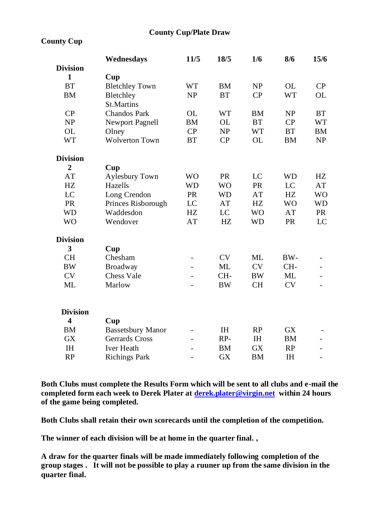## **County Cup/Plate Draw**

## **County Cup**

|                                                                    |           | 15/6      |
|--------------------------------------------------------------------|-----------|-----------|
| <b>Division</b>                                                    |           |           |
| 1<br>Cup                                                           |           |           |
| <b>BT</b><br>WT<br><b>BM</b><br><b>NP</b><br><b>Bletchley Town</b> | OL.       | CP        |
| <b>BT</b><br><b>CP</b><br><b>BM</b><br>Bletchley<br>NP             | <b>WT</b> | OL        |
| St.Martins                                                         |           |           |
| CP<br>Chandos Park<br>OL.<br>WT<br><b>BM</b>                       | NP        | <b>BT</b> |
| <b>BT</b><br>NP<br><b>BM</b><br>OL<br>Newport Pagnell              | CP        | WT        |
| OL<br>CP<br>NP<br>WT<br>Olney                                      | BT        | <b>BM</b> |
| WT<br><b>Wolverton Town</b><br><b>BT</b><br>CP<br>OL               | <b>BM</b> | NP        |
| <b>Division</b>                                                    |           |           |
| $\overline{c}$<br>Cup                                              |           |           |
| AT<br>PR<br><b>WO</b><br>LC<br><b>Aylesbury Town</b>               | <b>WD</b> | HZ        |
| <b>PR</b><br>HZ.<br>Hazells<br><b>WD</b><br><b>WO</b>              | LC        | AT        |
| LC<br><b>PR</b><br><b>WD</b><br>AT<br>Long Crendon                 | HZ.       | <b>WO</b> |
| HZ.<br><b>PR</b><br>Princes Risborough<br>LC<br>AT                 | <b>WO</b> | WD        |
| WD<br>Waddesdon<br>HZ<br>LC<br><b>WO</b>                           | AT        | PR        |
| WO<br>AT<br>HZ.<br><b>WD</b><br>Wendover                           | <b>PR</b> | LC        |
| <b>Division</b>                                                    |           |           |
| 3<br>Cup                                                           |           |           |
| <b>CH</b><br>Chesham<br>CV.<br>MI.                                 | BW-       |           |
| <b>CV</b><br>MI.<br><b>BW</b><br>Broadway<br>ä,                    | CH-       |           |
| <b>CV</b><br>Chess Vale<br>CH-<br><b>BW</b>                        | MI.       |           |
| ML<br><b>CH</b><br>Marlow<br><b>BW</b><br>٠                        | CV        |           |
| <b>Division</b>                                                    |           |           |
| 4<br>Cup                                                           |           |           |
| <b>TH</b><br><b>BM</b><br><b>Bassetsbury Manor</b><br>RP           | <b>GX</b> |           |
| <b>GX</b><br>Gerrards Cross<br>RP-<br>IΗ                           | <b>BM</b> |           |
| <b>IH</b><br><b>Iver Heath</b><br><b>BM</b><br><b>GX</b>           | RP        |           |
| <b>GX</b><br><b>RP</b><br><b>Richings Park</b><br>BM               | IΗ        | ٠         |

**Both Clubs must complete the Results Form which will be sent to all clubs and e-mail the completed form each week to Derek Plater a[t derek.plater@virgin.net](mailto:derek.plater@virgin.net) within 24 hours of the game being completed.**

**Both Clubs shall retain their own scorecards until the completion of the competition.**

**The winner of each division will be at home in the quarter final. ,** 

**A draw for the quarter finals will be made immediately following completion of the group stages . It will not be possible to play a ruuner up from the same division in the quarter final.**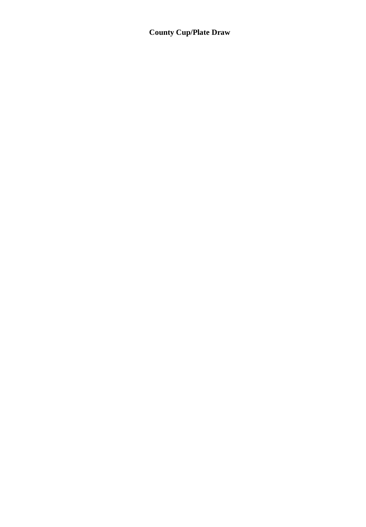## **County Cup/Plate Draw**